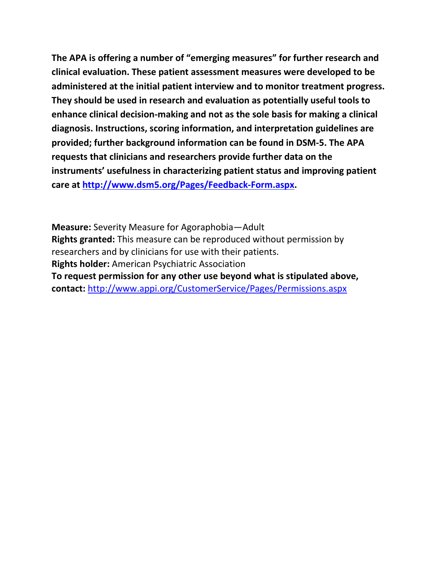**The APA is offering a number of "emerging measures" for further research and clinical evaluation. These patient assessment measures were developed to be administered at the initial patient interview and to monitor treatment progress. They should be used in research and evaluation as potentially useful tools to enhance clinical decision-making and not as the sole basis for making a clinical diagnosis. Instructions, scoring information, and interpretation guidelines are provided; further background information can be found in DSM-5. The APA requests that clinicians and researchers provide further data on the instruments' usefulness in characterizing patient status and improving patient care at [http://www.dsm5.org/Pages/Feedback-Form.aspx.](http://www.dsm5.org/Pages/Feedback-Form.aspx)**

**Measure:** Severity Measure for Agoraphobia—Adult **Rights granted:** This measure can be reproduced without permission by researchers and by clinicians for use with their patients. **Rights holder:** American Psychiatric Association **To request permission for any other use beyond what is stipulated above, contact:** <http://www.appi.org/CustomerService/Pages/Permissions.aspx>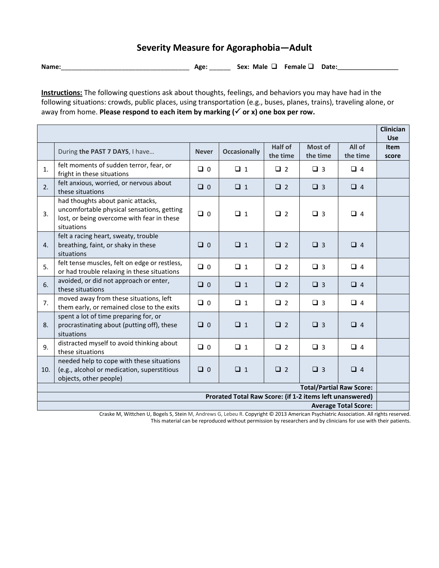## **Severity Measure for Agoraphobia—Adult**

**Name:**\_\_\_\_\_\_\_\_\_\_\_\_\_\_\_\_\_\_\_\_\_\_\_\_\_\_\_\_\_\_\_\_\_\_\_\_ **Age:** \_\_\_\_\_\_ **Sex: Male Female Date:\_\_\_\_\_\_\_\_\_\_\_\_\_\_\_\_\_**

**Instructions:** The following questions ask about thoughts, feelings, and behaviors you may have had in the following situations: crowds, public places, using transportation (e.g., buses, planes, trains), traveling alone, or away from home. **Please respond to each item by marking (√ or x) one box per row.** 

|                                                          |                                                                                                                                             |              |                     |                     |                     |                    | <b>Clinician</b><br><b>Use</b> |
|----------------------------------------------------------|---------------------------------------------------------------------------------------------------------------------------------------------|--------------|---------------------|---------------------|---------------------|--------------------|--------------------------------|
|                                                          | During the PAST 7 DAYS, I have                                                                                                              | <b>Never</b> | <b>Occasionally</b> | Half of<br>the time | Most of<br>the time | All of<br>the time | <b>Item</b><br>score           |
| 1.                                                       | felt moments of sudden terror, fear, or<br>fright in these situations                                                                       | $\Box$ 0     | $\Box$ 1            | $\Box$ 2            | $\Box$ 3            | $\Box$ 4           |                                |
| 2.                                                       | felt anxious, worried, or nervous about<br>these situations                                                                                 | $\Box$ 0     | $\Box$ 1            | $\Box$ 2            | $\Box$ 3            | $\Box$ 4           |                                |
| 3.                                                       | had thoughts about panic attacks,<br>uncomfortable physical sensations, getting<br>lost, or being overcome with fear in these<br>situations | $\Box$ 0     | $\Box$ 1            | $\Box$ 2            | $\Box$ 3            | $\Box$ 4           |                                |
| 4.                                                       | felt a racing heart, sweaty, trouble<br>breathing, faint, or shaky in these<br>situations                                                   | $\Box$ 0     | $\Box$ 1            | $\Box$ 2            | $\Box$ 3            | $\Box$ 4           |                                |
| 5.                                                       | felt tense muscles, felt on edge or restless,<br>or had trouble relaxing in these situations                                                | $\Box$ 0     | $\Box$ 1            | $\Box$ 2            | $\Box$ 3            | $\Box$ 4           |                                |
| 6.                                                       | avoided, or did not approach or enter,<br>these situations                                                                                  | $\Box$ 0     | $\Box$ 1            | $\Box$ 2            | $\Box$ 3            | $\Box$ 4           |                                |
| 7.                                                       | moved away from these situations, left<br>them early, or remained close to the exits                                                        | $\Box$ 0     | $\Box$ 1            | $\Box$ 2            | $\Box$ 3            | $\Box$ 4           |                                |
| 8.                                                       | spent a lot of time preparing for, or<br>procrastinating about (putting off), these<br>situations                                           | $\Box$ 0     | $\Box$ 1            | $\Box$ 2            | $\Box$ 3            | $\Box$ 4           |                                |
| 9.                                                       | distracted myself to avoid thinking about<br>these situations                                                                               | $\Box$ 0     | $\Box$ 1            | $\Box$ 2            | $\Box$ 3            | $\Box$ 4           |                                |
| 10.                                                      | needed help to cope with these situations<br>(e.g., alcohol or medication, superstitious<br>objects, other people)                          | $\Box$ 0     | $\Box$ 1            | $\Box$ 2            | $\Box$ 3            | $\Box$ 4           |                                |
| <b>Total/Partial Raw Score:</b>                          |                                                                                                                                             |              |                     |                     |                     |                    |                                |
| Prorated Total Raw Score: (if 1-2 items left unanswered) |                                                                                                                                             |              |                     |                     |                     |                    |                                |
| <b>Average Total Score:</b><br>$\sim$ $\sim$             |                                                                                                                                             |              |                     |                     |                     |                    |                                |

Craske M, Wittchen U, Bogels S, Stein M, Andrews G, Lebeu R. Copyright © 2013 American Psychiatric Association. All rights reserved. This material can be reproduced without permission by researchers and by clinicians for use with their patients.